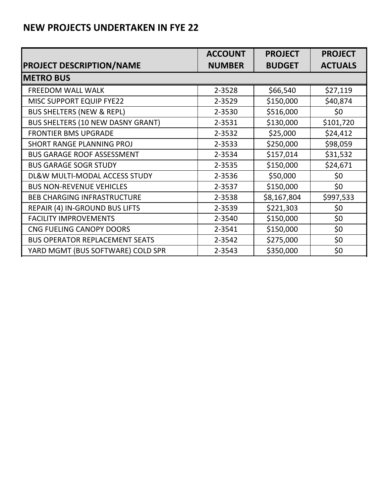|                                          | <b>ACCOUNT</b> | <b>PROJECT</b> | <b>PROJECT</b> |
|------------------------------------------|----------------|----------------|----------------|
| <b>PROJECT DESCRIPTION/NAME</b>          | <b>NUMBER</b>  | <b>BUDGET</b>  | <b>ACTUALS</b> |
| <b>METRO BUS</b>                         |                |                |                |
| <b>FREEDOM WALL WALK</b>                 | 2-3528         | \$66,540       | \$27,119       |
| MISC SUPPORT EQUIP FYE22                 | 2-3529         | \$150,000      | \$40,874       |
| <b>BUS SHELTERS (NEW &amp; REPL)</b>     | 2-3530         | \$516,000      | \$0            |
| <b>BUS SHELTERS (10 NEW DASNY GRANT)</b> | 2-3531         | \$130,000      | \$101,720      |
| <b>FRONTIER BMS UPGRADE</b>              | 2-3532         | \$25,000       | \$24,412       |
| SHORT RANGE PLANNING PROJ                | 2-3533         | \$250,000      | \$98,059       |
| <b>BUS GARAGE ROOF ASSESSMENT</b>        | 2-3534         | \$157,014      | \$31,532       |
| <b>BUS GARAGE SOGR STUDY</b>             | 2-3535         | \$150,000      | \$24,671       |
| DL&W MULTI-MODAL ACCESS STUDY            | 2-3536         | \$50,000       | \$0            |
| <b>BUS NON-REVENUE VEHICLES</b>          | 2-3537         | \$150,000      | \$0            |
| <b>BEB CHARGING INFRASTRUCTURE</b>       | 2-3538         | \$8,167,804    | \$997,533      |
| REPAIR (4) IN-GROUND BUS LIFTS           | 2-3539         | \$221,303      | \$0            |
| <b>FACILITY IMPROVEMENTS</b>             | 2-3540         | \$150,000      | \$0            |
| CNG FUELING CANOPY DOORS                 | 2-3541         | \$150,000      | \$0            |
| <b>BUS OPERATOR REPLACEMENT SEATS</b>    | 2-3542         | \$275,000      | \$0            |
| YARD MGMT (BUS SOFTWARE) COLD SPR        | 2-3543         | \$350,000      | \$0            |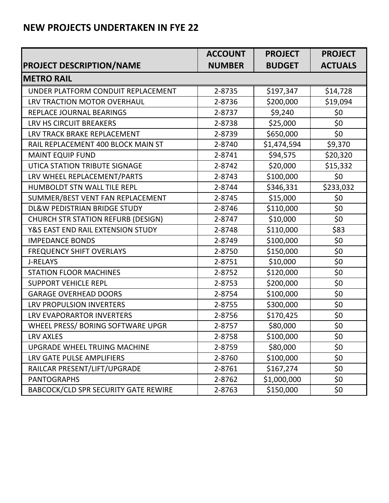|                                           | <b>ACCOUNT</b> | <b>PROJECT</b> | <b>PROJECT</b> |
|-------------------------------------------|----------------|----------------|----------------|
| <b>PROJECT DESCRIPTION/NAME</b>           | <b>NUMBER</b>  | <b>BUDGET</b>  | <b>ACTUALS</b> |
| <b>METRO RAIL</b>                         |                |                |                |
| UNDER PLATFORM CONDUIT REPLACEMENT        | 2-8735         | \$197,347      | \$14,728       |
| LRV TRACTION MOTOR OVERHAUL               | 2-8736         | \$200,000      | \$19,094       |
| REPLACE JOURNAL BEARINGS                  | 2-8737         | \$9,240        | \$0            |
| LRV HS CIRCUIT BREAKERS                   | 2-8738         | \$25,000       | \$0            |
| LRV TRACK BRAKE REPLACEMENT               | 2-8739         | \$650,000      | \$0            |
| RAIL REPLACEMENT 400 BLOCK MAIN ST        | 2-8740         | \$1,474,594    | \$9,370        |
| <b>MAINT EQUIP FUND</b>                   | 2-8741         | \$94,575       | \$20,320       |
| UTICA STATION TRIBUTE SIGNAGE             | 2-8742         | \$20,000       | \$15,332       |
| LRV WHEEL REPLACEMENT/PARTS               | 2-8743         | \$100,000      | \$0            |
| HUMBOLDT STN WALL TILE REPL               | 2-8744         | \$346,331      | \$233,032      |
| SUMMER/BEST VENT FAN REPLACEMENT          | 2-8745         | \$15,000       | \$0            |
| DL&W PEDISTRIAN BRIDGE STUDY              | 2-8746         | \$110,000      | \$0            |
| <b>CHURCH STR STATION REFURB (DESIGN)</b> | 2-8747         | \$10,000       | \$0            |
| Y&S EAST END RAIL EXTENSION STUDY         | 2-8748         | \$110,000      | \$83           |
| <b>IMPEDANCE BONDS</b>                    | 2-8749         | \$100,000      | \$0            |
| <b>FREQUENCY SHIFT OVERLAYS</b>           | 2-8750         | \$150,000      | \$0            |
| <b>J-RELAYS</b>                           | 2-8751         | \$10,000       | \$0            |
| <b>STATION FLOOR MACHINES</b>             | 2-8752         | \$120,000      | \$0            |
| <b>SUPPORT VEHICLE REPL</b>               | 2-8753         | \$200,000      | \$0            |
| <b>GARAGE OVERHEAD DOORS</b>              | 2-8754         | \$100,000      | \$0            |
| <b>LRV PROPULSION INVERTERS</b>           | 2-8755         | \$300,000      | \$0            |
| <b>LRV EVAPORARTOR INVERTERS</b>          | 2-8756         | \$170,425      | \$0            |
| WHEEL PRESS/ BORING SOFTWARE UPGR         | 2-8757         | \$80,000       | \$0            |
| <b>LRV AXLES</b>                          | 2-8758         | \$100,000      | \$0            |
| UPGRADE WHEEL TRUING MACHINE              | 2-8759         | \$80,000       | \$0            |
| LRV GATE PULSE AMPLIFIERS                 | 2-8760         | \$100,000      | \$0            |
| RAILCAR PRESENT/LIFT/UPGRADE              | 2-8761         | \$167,274      | \$0            |
| <b>PANTOGRAPHS</b>                        | 2-8762         | \$1,000,000    | \$0            |
| BABCOCK/CLD SPR SECURITY GATE REWIRE      | 2-8763         | \$150,000      | \$0            |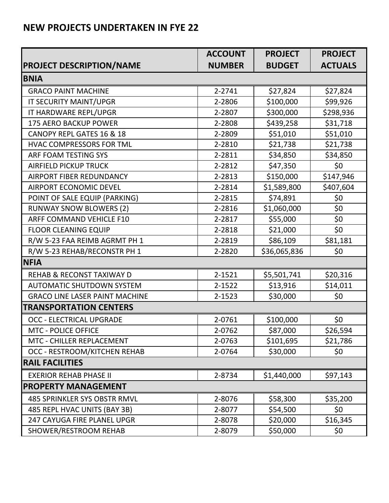|                                       | <b>ACCOUNT</b> | <b>PROJECT</b> | <b>PROJECT</b> |
|---------------------------------------|----------------|----------------|----------------|
| <b>PROJECT DESCRIPTION/NAME</b>       | <b>NUMBER</b>  | <b>BUDGET</b>  | <b>ACTUALS</b> |
| <b>BNIA</b>                           |                |                |                |
| <b>GRACO PAINT MACHINE</b>            | 2-2741         | \$27,824       | \$27,824       |
| IT SECURITY MAINT/UPGR                | 2-2806         | \$100,000      | \$99,926       |
| IT HARDWARE REPL/UPGR                 | 2-2807         | \$300,000      | \$298,936      |
| 175 AERO BACKUP POWER                 | 2-2808         | \$439,258      | \$31,718       |
| CANOPY REPL GATES 16 & 18             | 2-2809         | \$51,010       | \$51,010       |
| HVAC COMPRESSORS FOR TML              | 2-2810         | \$21,738       | \$21,738       |
| ARF FOAM TESTING SYS                  | 2-2811         | \$34,850       | \$34,850       |
| <b>AIRFIELD PICKUP TRUCK</b>          | 2-2812         | \$47,350       | \$0            |
| <b>AIRPORT FIBER REDUNDANCY</b>       | 2-2813         | \$150,000      | \$147,946      |
| <b>AIRPORT ECONOMIC DEVEL</b>         | 2-2814         | \$1,589,800    | \$407,604      |
| POINT OF SALE EQUIP (PARKING)         | 2-2815         | \$74,891       | \$0            |
| <b>RUNWAY SNOW BLOWERS (2)</b>        | 2-2816         | \$1,060,000    | \$0            |
| ARFF COMMAND VEHICLE F10              | 2-2817         | \$55,000       | \$0            |
| <b>FLOOR CLEANING EQUIP</b>           | 2-2818         | \$21,000       | \$0            |
| R/W 5-23 FAA REIMB AGRMT PH 1         | 2-2819         | \$86,109       | \$81,181       |
| R/W 5-23 REHAB/RECONSTR PH 1          | 2-2820         | \$36,065,836   | \$0            |
| <b>NFIA</b>                           |                |                |                |
| <b>REHAB &amp; RECONST TAXIWAY D</b>  | 2-1521         | \$5,501,741    | \$20,316       |
| <b>AUTOMATIC SHUTDOWN SYSTEM</b>      | 2-1522         | \$13,916       | \$14,011       |
| <b>GRACO LINE LASER PAINT MACHINE</b> | 2-1523         | \$30,000       | \$0            |
| <b>TRANSPORTATION CENTERS</b>         |                |                |                |
| <b>OCC - ELECTRICAL UPGRADE</b>       | 2-0761         | \$100,000      | \$0            |
| <b>MTC - POLICE OFFICE</b>            | 2-0762         | \$87,000       | \$26,594       |
| MTC - CHILLER REPLACEMENT             | 2-0763         | \$101,695      | \$21,786       |
| OCC - RESTROOM/KITCHEN REHAB          | 2-0764         | \$30,000       | \$0            |
| <b>RAIL FACILITIES</b>                |                |                |                |
| <b>EXERIOR REHAB PHASE II</b>         | 2-8734         | \$1,440,000    | \$97,143       |
| <b>PROPERTY MANAGEMENT</b>            |                |                |                |
| <b>485 SPRINKLER SYS OBSTR RMVL</b>   | 2-8076         | \$58,300       | \$35,200       |
| 485 REPL HVAC UNITS (BAY 3B)          | 2-8077         | \$54,500       | \$0            |
| <b>247 CAYUGA FIRE PLANEL UPGR</b>    | 2-8078         | \$20,000       | \$16,345       |
| SHOWER/RESTROOM REHAB                 | 2-8079         | \$50,000       | \$0            |